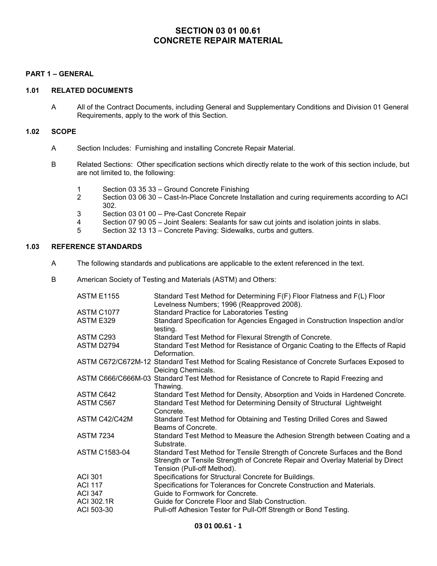# SECTION 03 01 00.61 CONCRETE REPAIR MATERIAL

### PART 1 – GENERAL

## 1.01 RELATED DOCUMENTS

A All of the Contract Documents, including General and Supplementary Conditions and Division 01 General Requirements, apply to the work of this Section.

## 1.02 SCOPE

- A Section Includes: Furnishing and installing Concrete Repair Material.
- B Related Sections: Other specification sections which directly relate to the work of this section include, but are not limited to, the following:
	- 1 Section 03 35 33 Ground Concrete Finishing
	- 2 Section 03 06 30 Cast-In-Place Concrete Installation and curing requirements according to ACI 302.
	- 3 Section 03 01 00 Pre-Cast Concrete Repair
	- 4 Section 07 90 05 Joint Sealers: Sealants for saw cut joints and isolation joints in slabs.<br>5 Section 32 13 13 Concrete Paving: Sidewalks, curbs and gutters.
	- 5 Section 32 13 13 Concrete Paving: Sidewalks, curbs and gutters.

## 1.03 REFERENCE STANDARDS

- A The following standards and publications are applicable to the extent referenced in the text.
- B American Society of Testing and Materials (ASTM) and Others:

| <b>ASTM E1155</b>    | Standard Test Method for Determining F(F) Floor Flatness and F(L) Floor<br>Levelness Numbers; 1996 (Reapproved 2008).                                                                       |
|----------------------|---------------------------------------------------------------------------------------------------------------------------------------------------------------------------------------------|
| ASTM C1077           | <b>Standard Practice for Laboratories Testing</b>                                                                                                                                           |
| ASTM E329            | Standard Specification for Agencies Engaged in Construction Inspection and/or<br>testing.                                                                                                   |
| ASTM C293            | Standard Test Method for Flexural Strength of Concrete.                                                                                                                                     |
| ASTM D2794           | Standard Test Method for Resistance of Organic Coating to the Effects of Rapid<br>Deformation.                                                                                              |
|                      | ASTM C672/C672M-12 Standard Test Method for Scaling Resistance of Concrete Surfaces Exposed to<br>Deicing Chemicals.                                                                        |
|                      | ASTM C666/C666M-03 Standard Test Method for Resistance of Concrete to Rapid Freezing and<br>Thawing.                                                                                        |
| ASTM C642            | Standard Test Method for Density, Absorption and Voids in Hardened Concrete.                                                                                                                |
| ASTM C567            | Standard Test Method for Determining Density of Structural Lightweight<br>Concrete.                                                                                                         |
| ASTM C42/C42M        | Standard Test Method for Obtaining and Testing Drilled Cores and Sawed<br>Beams of Concrete.                                                                                                |
| <b>ASTM 7234</b>     | Standard Test Method to Measure the Adhesion Strength between Coating and a<br>Substrate.                                                                                                   |
| <b>ASTM C1583-04</b> | Standard Test Method for Tensile Strength of Concrete Surfaces and the Bond<br>Strength or Tensile Strength of Concrete Repair and Overlay Material by Direct<br>Tension (Pull-off Method). |
| <b>ACI 301</b>       | Specifications for Structural Concrete for Buildings.                                                                                                                                       |
| <b>ACI 117</b>       | Specifications for Tolerances for Concrete Construction and Materials.                                                                                                                      |
| <b>ACI 347</b>       | Guide to Formwork for Concrete.                                                                                                                                                             |
| ACI 302.1R           | Guide for Concrete Floor and Slab Construction.                                                                                                                                             |
| ACI 503-30           | Pull-off Adhesion Tester for Pull-Off Strength or Bond Testing.                                                                                                                             |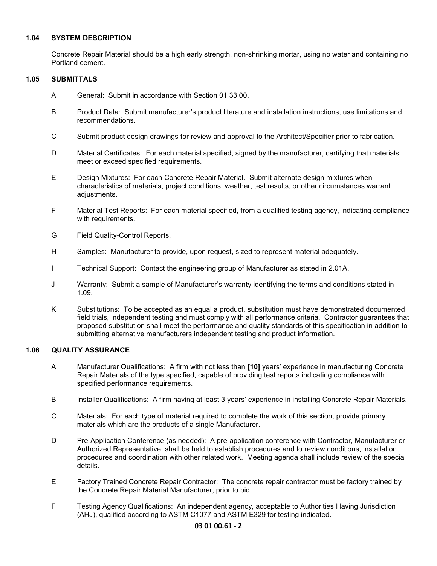## 1.04 SYSTEM DESCRIPTION

Concrete Repair Material should be a high early strength, non-shrinking mortar, using no water and containing no Portland cement.

### 1.05 SUBMITTALS

- A General: Submit in accordance with Section 01 33 00.
- B Product Data: Submit manufacturer's product literature and installation instructions, use limitations and recommendations.
- C Submit product design drawings for review and approval to the Architect/Specifier prior to fabrication.
- D Material Certificates: For each material specified, signed by the manufacturer, certifying that materials meet or exceed specified requirements.
- E Design Mixtures: For each Concrete Repair Material. Submit alternate design mixtures when characteristics of materials, project conditions, weather, test results, or other circumstances warrant adiustments.
- F Material Test Reports: For each material specified, from a qualified testing agency, indicating compliance with requirements.
- G Field Quality-Control Reports.
- H Samples: Manufacturer to provide, upon request, sized to represent material adequately.
- I Technical Support: Contact the engineering group of Manufacturer as stated in 2.01A.
- J Warranty: Submit a sample of Manufacturer's warranty identifying the terms and conditions stated in 1.09.
- K Substitutions: To be accepted as an equal a product, substitution must have demonstrated documented field trials, independent testing and must comply with all performance criteria. Contractor guarantees that proposed substitution shall meet the performance and quality standards of this specification in addition to submitting alternative manufacturers independent testing and product information.

## 1.06 QUALITY ASSURANCE

- A Manufacturer Qualifications: A firm with not less than [10] years' experience in manufacturing Concrete Repair Materials of the type specified, capable of providing test reports indicating compliance with specified performance requirements.
- B Installer Qualifications: A firm having at least 3 years' experience in installing Concrete Repair Materials.
- C Materials: For each type of material required to complete the work of this section, provide primary materials which are the products of a single Manufacturer.
- D Pre-Application Conference (as needed): A pre-application conference with Contractor, Manufacturer or Authorized Representative, shall be held to establish procedures and to review conditions, installation procedures and coordination with other related work. Meeting agenda shall include review of the special details.
- E Factory Trained Concrete Repair Contractor: The concrete repair contractor must be factory trained by the Concrete Repair Material Manufacturer, prior to bid.
- F Testing Agency Qualifications: An independent agency, acceptable to Authorities Having Jurisdiction (AHJ), qualified according to ASTM C1077 and ASTM E329 for testing indicated.

## 03 01 00.61 - 2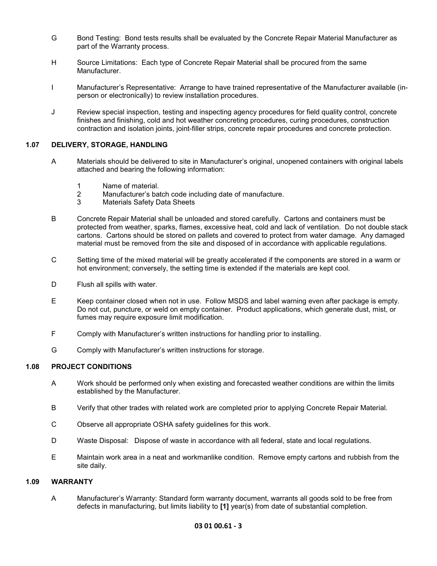- G Bond Testing: Bond tests results shall be evaluated by the Concrete Repair Material Manufacturer as part of the Warranty process.
- H Source Limitations: Each type of Concrete Repair Material shall be procured from the same Manufacturer.
- I Manufacturer's Representative: Arrange to have trained representative of the Manufacturer available (inperson or electronically) to review installation procedures.
- J Review special inspection, testing and inspecting agency procedures for field quality control, concrete finishes and finishing, cold and hot weather concreting procedures, curing procedures, construction contraction and isolation joints, joint-filler strips, concrete repair procedures and concrete protection.

### 1.07 DELIVERY, STORAGE, HANDLING

- A Materials should be delivered to site in Manufacturer's original, unopened containers with original labels attached and bearing the following information:
	- 1 Name of material.
	- 2 Manufacturer's batch code including date of manufacture.
	- 3 Materials Safety Data Sheets
- B Concrete Repair Material shall be unloaded and stored carefully. Cartons and containers must be protected from weather, sparks, flames, excessive heat, cold and lack of ventilation. Do not double stack cartons. Cartons should be stored on pallets and covered to protect from water damage. Any damaged material must be removed from the site and disposed of in accordance with applicable regulations.
- C Setting time of the mixed material will be greatly accelerated if the components are stored in a warm or hot environment; conversely, the setting time is extended if the materials are kept cool.
- D Flush all spills with water.
- E Keep container closed when not in use. Follow MSDS and label warning even after package is empty. Do not cut, puncture, or weld on empty container. Product applications, which generate dust, mist, or fumes may require exposure limit modification.
- F Comply with Manufacturer's written instructions for handling prior to installing.
- G Comply with Manufacturer's written instructions for storage.

### 1.08 PROJECT CONDITIONS

- A Work should be performed only when existing and forecasted weather conditions are within the limits established by the Manufacturer.
- B Verify that other trades with related work are completed prior to applying Concrete Repair Material.
- C Observe all appropriate OSHA safety guidelines for this work.
- D Waste Disposal: Dispose of waste in accordance with all federal, state and local regulations.
- E Maintain work area in a neat and workmanlike condition. Remove empty cartons and rubbish from the site daily.

#### 1.09 WARRANTY

A Manufacturer's Warranty: Standard form warranty document, warrants all goods sold to be free from defects in manufacturing, but limits liability to [1] year(s) from date of substantial completion.

### 03 01 00.61 - 3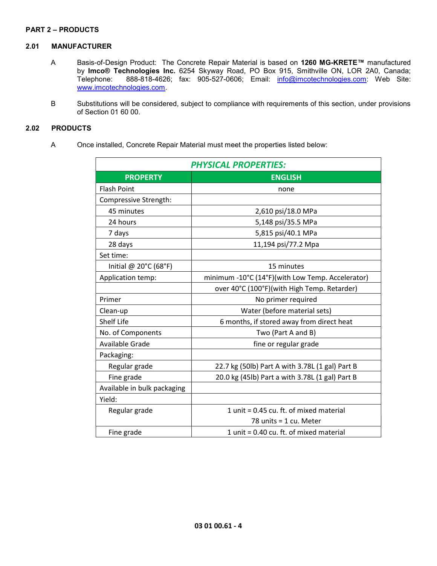### PART 2 – PRODUCTS

### 2.01 MANUFACTURER

- A Basis-of-Design Product: The Concrete Repair Material is based on 1260 MG-KRETE™ manufactured by Imco® Technologies Inc. 6254 Skyway Road, PO Box 915, Smithville ON, LOR 2A0, Canada;<br>Telephone: 888-818-4626; fax: 905-527-0606; Email: info@imcotechnologies.com: Web Site: 888-818-4626; fax: 905-527-0606; Email: info@imcotechnologies.com: Web Site: www.imcotechnologies.com.
- B Substitutions will be considered, subject to compliance with requirements of this section, under provisions of Section 01 60 00.

## 2.02 PRODUCTS

A Once installed, Concrete Repair Material must meet the properties listed below:

| <b>PHYSICAL PROPERTIES:</b>     |                                                  |  |
|---------------------------------|--------------------------------------------------|--|
| <b>PROPERTY</b>                 | <b>ENGLISH</b>                                   |  |
| <b>Flash Point</b>              | none                                             |  |
| Compressive Strength:           |                                                  |  |
| 45 minutes                      | 2,610 psi/18.0 MPa                               |  |
| 24 hours                        | 5,148 psi/35.5 MPa                               |  |
| 7 days                          | 5,815 psi/40.1 MPa                               |  |
| 28 days                         | 11,194 psi/77.2 Mpa                              |  |
| Set time:                       |                                                  |  |
| Initial @ $20^{\circ}$ C (68°F) | 15 minutes                                       |  |
| Application temp:               | minimum -10°C (14°F)(with Low Temp. Accelerator) |  |
|                                 | over 40°C (100°F)(with High Temp. Retarder)      |  |
| Primer                          | No primer required                               |  |
| Clean-up                        | Water (before material sets)                     |  |
| Shelf Life                      | 6 months, if stored away from direct heat        |  |
| No. of Components               | Two (Part A and B)                               |  |
| Available Grade                 | fine or regular grade                            |  |
| Packaging:                      |                                                  |  |
| Regular grade                   | 22.7 kg (50lb) Part A with 3.78L (1 gal) Part B  |  |
| Fine grade                      | 20.0 kg (45lb) Part a with 3.78L (1 gal) Part B  |  |
| Available in bulk packaging     |                                                  |  |
| Yield:                          |                                                  |  |
| Regular grade                   | 1 unit = 0.45 cu. ft. of mixed material          |  |
|                                 | 78 units = 1 cu. Meter                           |  |
| Fine grade                      | 1 unit = 0.40 cu. ft. of mixed material          |  |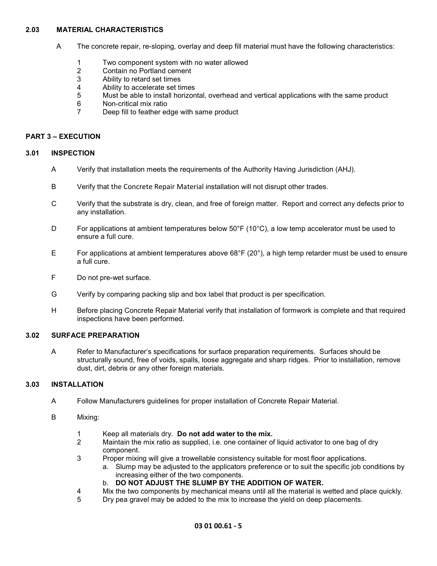## 2.03 MATERIAL CHARACTERISTICS

- A The concrete repair, re-sloping, overlay and deep fill material must have the following characteristics:
	- 1 Two component system with no water allowed
	- 2 Contain no Portland cement<br>3 Ability to retard set times
	- Ability to retard set times
	- 4 Ability to accelerate set times
	- 5 Must be able to install horizontal, overhead and vertical applications with the same product
	- 6 Non-critical mix ratio
	- 7 Deep fill to feather edge with same product

## PART 3 – EXECUTION

### 3.01 INSPECTION

- A Verify that installation meets the requirements of the Authority Having Jurisdiction (AHJ).
- B Verify that the Concrete Repair Material installation will not disrupt other trades.
- C Verify that the substrate is dry, clean, and free of foreign matter. Report and correct any defects prior to any installation.
- D For applications at ambient temperatures below  $50^{\circ}$ F (10 $^{\circ}$ C), a low temp accelerator must be used to ensure a full cure.
- E For applications at ambient temperatures above  $68^{\circ}F(20^{\circ})$ , a high temp retarder must be used to ensure a full cure.
- F Do not pre-wet surface.
- G Verify by comparing packing slip and box label that product is per specification.
- H Before placing Concrete Repair Material verify that installation of formwork is complete and that required inspections have been performed.

### 3.02 SURFACE PREPARATION

A Refer to Manufacturer's specifications for surface preparation requirements. Surfaces should be structurally sound, free of voids, spalls, loose aggregate and sharp ridges. Prior to installation, remove dust, dirt, debris or any other foreign materials.

### 3.03 INSTALLATION

- A Follow Manufacturers guidelines for proper installation of Concrete Repair Material.
- B Mixing:
	- 1 Keep all materials dry. Do not add water to the mix.
	- 2 Maintain the mix ratio as supplied, i.e. one container of liquid activator to one bag of dry component.
	- 3 Proper mixing will give a trowellable consistency suitable for most floor applications.
		- a. Slump may be adjusted to the applicators preference or to suit the specific job conditions by increasing either of the two components.
		- b. DO NOT ADJUST THE SLUMP BY THE ADDITION OF WATER.
	- 4 Mix the two components by mechanical means until all the material is wetted and place quickly.
	- 5 Dry pea gravel may be added to the mix to increase the yield on deep placements.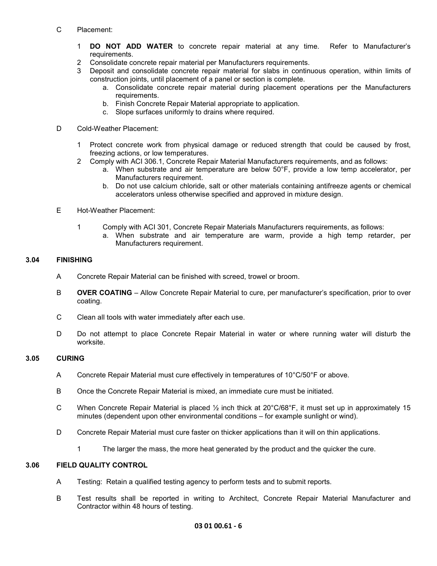## C Placement:

- 1 DO NOT ADD WATER to concrete repair material at any time. Refer to Manufacturer's requirements.
- 2 Consolidate concrete repair material per Manufacturers requirements.
- 3 Deposit and consolidate concrete repair material for slabs in continuous operation, within limits of construction joints, until placement of a panel or section is complete.
	- a. Consolidate concrete repair material during placement operations per the Manufacturers requirements.
	- b. Finish Concrete Repair Material appropriate to application.
	- c. Slope surfaces uniformly to drains where required.

### D Cold-Weather Placement:

- 1 Protect concrete work from physical damage or reduced strength that could be caused by frost, freezing actions, or low temperatures.
- 2 Comply with ACI 306.1, Concrete Repair Material Manufacturers requirements, and as follows:
	- a. When substrate and air temperature are below 50°F, provide a low temp accelerator, per Manufacturers requirement.
	- b. Do not use calcium chloride, salt or other materials containing antifreeze agents or chemical accelerators unless otherwise specified and approved in mixture design.
- E Hot-Weather Placement:
	- 1 Comply with ACI 301, Concrete Repair Materials Manufacturers requirements, as follows:
		- a. When substrate and air temperature are warm, provide a high temp retarder, per Manufacturers requirement.

## 3.04 FINISHING

- A Concrete Repair Material can be finished with screed, trowel or broom.
- B **OVER COATING** Allow Concrete Repair Material to cure, per manufacturer's specification, prior to over coating.
- C Clean all tools with water immediately after each use.
- D Do not attempt to place Concrete Repair Material in water or where running water will disturb the worksite.

## 3.05 CURING

- A Concrete Repair Material must cure effectively in temperatures of 10°C/50°F or above.
- B Once the Concrete Repair Material is mixed, an immediate cure must be initiated.
- C When Concrete Repair Material is placed  $\frac{1}{2}$  inch thick at 20°C/68°F, it must set up in approximately 15 minutes (dependent upon other environmental conditions – for example sunlight or wind).
- D Concrete Repair Material must cure faster on thicker applications than it will on thin applications.
	- 1 The larger the mass, the more heat generated by the product and the quicker the cure.

## 3.06 FIELD QUALITY CONTROL

- A Testing: Retain a qualified testing agency to perform tests and to submit reports.
- B Test results shall be reported in writing to Architect, Concrete Repair Material Manufacturer and Contractor within 48 hours of testing.